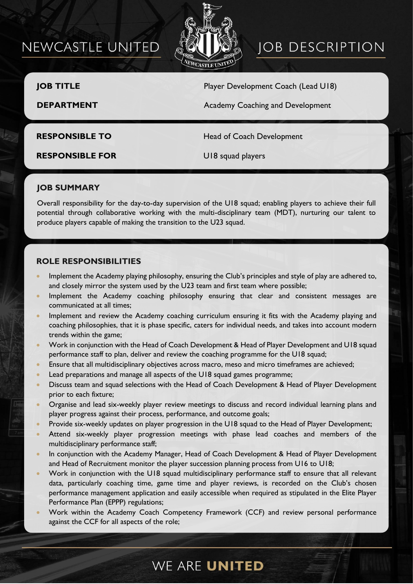# NEWCASTLE UNITED



# **JOB DESCRIPTION**

**JOB TITLE** Player Development Coach (Lead U18)

**DEPARTMENT COACHING Academy Coaching and Development** 

**RESPONSIBLE TO** Head of Coach Development

**RESPONSIBLE FOR** U18 squad players

### **JOB SUMMARY**

Overall responsibility for the day-to-day supervision of the U18 squad; enabling players to achieve their full potential through collaborative working with the multi-disciplinary team (MDT), nurturing our talent to produce players capable of making the transition to the U23 squad.

### **ROLE RESPONSIBILITIES**

- Implement the Academy playing philosophy, ensuring the Club's principles and style of play are adhered to, and closely mirror the system used by the U23 team and first team where possible;
- Implement the Academy coaching philosophy ensuring that clear and consistent messages are communicated at all times;
- Implement and review the Academy coaching curriculum ensuring it fits with the Academy playing and coaching philosophies, that it is phase specific, caters for individual needs, and takes into account modern trends within the game;
- Work in conjunction with the Head of Coach Development & Head of Player Development and U18 squad performance staff to plan, deliver and review the coaching programme for the U18 squad;
- Ensure that all multidisciplinary objectives across macro, meso and micro timeframes are achieved;
- Lead preparations and manage all aspects of the U18 squad games programme;
- Discuss team and squad selections with the Head of Coach Development & Head of Player Development prior to each fixture;
- Organise and lead six-weekly player review meetings to discuss and record individual learning plans and player progress against their process, performance, and outcome goals;
- Provide six-weekly updates on player progression in the U18 squad to the Head of Player Development;
- Attend six-weekly player progression meetings with phase lead coaches and members of the multidisciplinary performance staff;
- In conjunction with the Academy Manager, Head of Coach Development & Head of Player Development and Head of Recruitment monitor the player succession planning process from U16 to U18;
- Work in conjunction with the U18 squad multidisciplinary performance staff to ensure that all relevant data, particularly coaching time, game time and player reviews, is recorded on the Club's chosen performance management application and easily accessible when required as stipulated in the Elite Player Performance Plan (EPPP) regulations;
- Work within the Academy Coach Competency Framework (CCF) and review personal performance against the CCF for all aspects of the role;

### WE ARE UNITED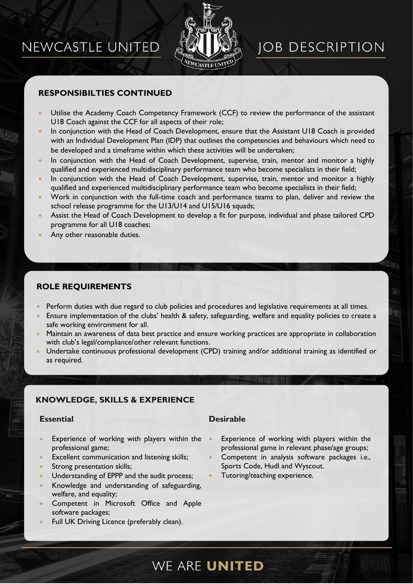# NEWCASTLE UNITED



# **JOB DESCRIPTION**

### **RESPONSIBILTIES CONTINUED**

- Utilise the Academy Coach Competency Framework (CCF) to review the performance of the assistant U18 Coach against the CCF for all aspects of their role;
- In conjunction with the Head of Coach Development, ensure that the Assistant U18 Coach is provided with an Individual Development Plan (IDP) that outlines the competencies and behaviours which need to be developed and a timeframe within which these activities will be undertaken;
- In conjunction with the Head of Coach Development, supervise, train, mentor and monitor a highly qualified and experienced multidisciplinary performance team who become specialists in their field;
- In conjunction with the Head of Coach Development, supervise, train, mentor and monitor a highly qualified and experienced multidisciplinary performance team who become specialists in their field;
- Work in conjunction with the full-time coach and performance teams to plan, deliver and review the school release programme for the U13/U14 and U15/U16 squads;
- Assist the Head of Coach Development to develop a fit for purpose, individual and phase tailored CPD programme for all U18 coaches;
- Any other reasonable duties.

### **ROLE REQUIREMENTS**

- Perform duties with due regard to club policies and procedures and legislative requirements at all times.
- Ensure implementation of the clubs' health & safety, safeguarding, welfare and equality policies to create a safe working environment for all.
- Maintain an awareness of data best practice and ensure working practices are appropriate in collaboration with club's legal/compliance/other relevant functions.
- Undertake continuous professional development (CPD) training and/or additional training as identified or as required.

### **KNOWLEDGE, SKILLS & EXPERIENCE**

- Experience of working with players within the professional game;
- Excellent communication and listening skills;
- Strong presentation skills;
- Understanding of EPPP and the audit process;
- Knowledge and understanding of safeguarding, welfare, and equality;
- Competent in Microsoft Office and Apple software packages;
- Full UK Driving Licence (preferably clean).

### **Essential Desirable**

- Experience of working with players within the professional game in relevant phase/age groups;
- Competent in analysis software packages i.e., Sports Code, Hudl and Wyscout.
- Tutoring/teaching experience.

# WE ARE UNITED